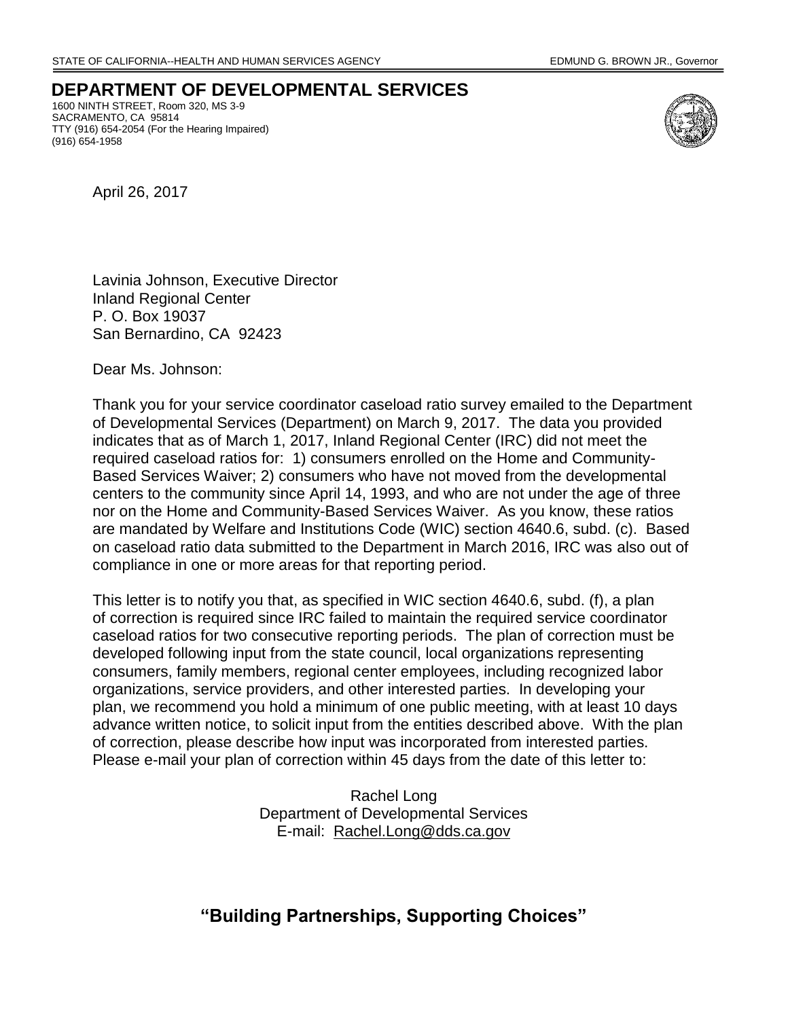**DEPARTMENT OF DEVELOPMENTAL SERVICES** 1600 NINTH STREET, Room 320, MS 3-9 SACRAMENTO, CA 95814 TTY (916) 654-2054 (For the Hearing Impaired)



April 26, 2017

(916) 654-1958

Lavinia Johnson, Executive Director Inland Regional Center P. O. Box 19037 San Bernardino, CA 92423

Dear Ms. Johnson:

Thank you for your service coordinator caseload ratio survey emailed to the Department of Developmental Services (Department) on March 9, 2017. The data you provided indicates that as of March 1, 2017, Inland Regional Center (IRC) did not meet the required caseload ratios for: 1) consumers enrolled on the Home and Community-Based Services Waiver; 2) consumers who have not moved from the developmental centers to the community since April 14, 1993, and who are not under the age of three nor on the Home and Community-Based Services Waiver. As you know, these ratios are mandated by Welfare and Institutions Code (WIC) section 4640.6, subd. (c). Based on caseload ratio data submitted to the Department in March 2016, IRC was also out of compliance in one or more areas for that reporting period.

This letter is to notify you that, as specified in WIC section 4640.6, subd. (f), a plan of correction is required since IRC failed to maintain the required service coordinator caseload ratios for two consecutive reporting periods. The plan of correction must be developed following input from the state council, local organizations representing consumers, family members, regional center employees, including recognized labor organizations, service providers, and other interested parties. In developing your plan, we recommend you hold a minimum of one public meeting, with at least 10 days advance written notice, to solicit input from the entities described above. With the plan of correction, please describe how input was incorporated from interested parties. Please e-mail your plan of correction within 45 days from the date of this letter to:

> Rachel Long Department of Developmental Services E-mail: Rachel.Long@dds.ca.gov

## **"Building Partnerships, Supporting Choices"**